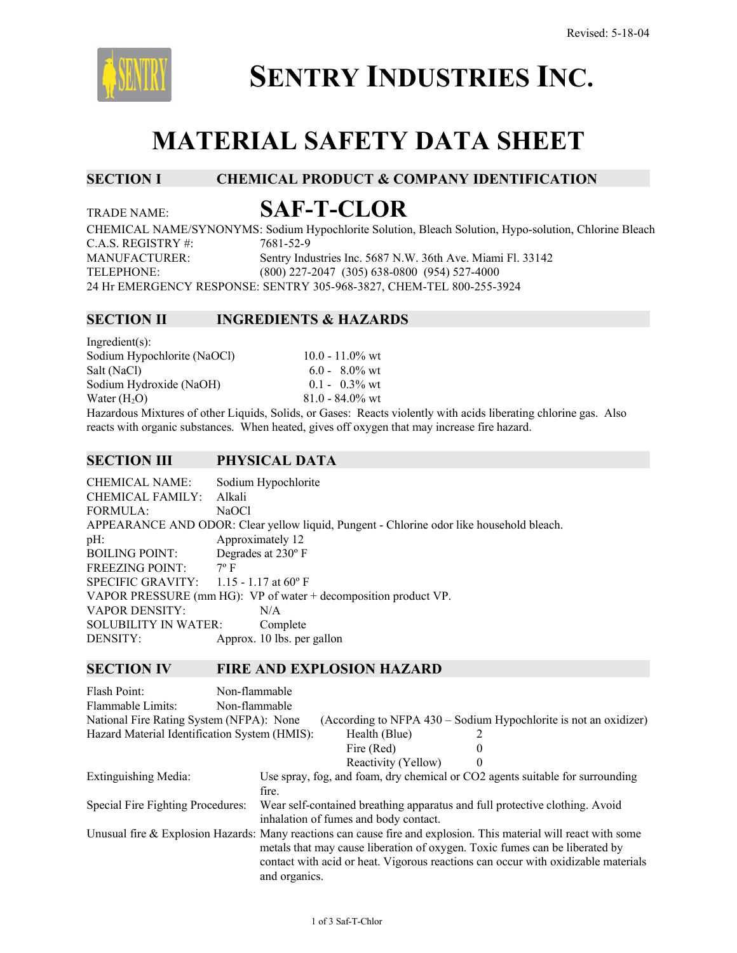

# **SENTRY INDUSTRIES INC.**

## **MATERIAL SAFETY DATA SHEET**

### **SECTION I CHEMICAL PRODUCT & COMPANY IDENTIFICATION**

### TRADE NAME: **SAF-T-CLOR**

CHEMICAL NAME/SYNONYMS: Sodium Hypochlorite Solution, Bleach Solution, Hypo-solution, Chlorine Bleach C.A.S. REGISTRY #: 7681-52-9 MANUFACTURER: Sentry Industries Inc. 5687 N.W. 36th Ave. Miami Fl. 33142 TELEPHONE: (800) 227-2047 (305) 638-0800 (954) 527-4000 24 Hr EMERGENCY RESPONSE: SENTRY 305-968-3827, CHEM-TEL 800-255-3924

#### **SECTION II INGREDIENTS & HAZARDS**

| $Ingradient(s)$ :                                           |                    |
|-------------------------------------------------------------|--------------------|
| Sodium Hypochlorite (NaOCl)                                 | $10.0 - 11.0\%$ wt |
| Salt (NaCl)                                                 | $6.0 - 8.0\%$ wt   |
| Sodium Hydroxide (NaOH)                                     | $0.1 - 0.3\%$ wt   |
| Water $(H2O)$                                               | $81.0 - 84.0\%$ wt |
| Hazardous Mixtures of other Liquids Solids or Gases: Reacts |                    |

eacts violently with acids liberating chlorine gas. Also reacts with organic substances. When heated, gives off oxygen that may increase fire hazard.

#### **SECTION III PHYSICAL DATA**

CHEMICAL NAME: Sodium Hypochlorite CHEMICAL FAMILY: Alkali FORMULA: NaOCl APPEARANCE AND ODOR: Clear yellow liquid, Pungent - Chlorine odor like household bleach. pH: Approximately 12 BOILING POINT: Degrades at 230º F FREEZING POINT: 7° F SPECIFIC GRAVITY: 1.15 - 1.17 at 60° F VAPOR PRESSURE (mm HG): VP of water + decomposition product VP. VAPOR DENSITY: N/A SOLUBILITY IN WATER: Complete DENSITY: Approx. 10 lbs. per gallon

#### **SECTION IV FIRE AND EXPLOSION HAZARD**

| Flash Point:<br>Flammable Limits:             | Non-flammable<br>Non-flammable |                                       |                                                                                                                                                                                                                                                                                       |  |
|-----------------------------------------------|--------------------------------|---------------------------------------|---------------------------------------------------------------------------------------------------------------------------------------------------------------------------------------------------------------------------------------------------------------------------------------|--|
| National Fire Rating System (NFPA): None      |                                |                                       | (According to NFPA 430 – Sodium Hypochlorite is not an oxidizer)                                                                                                                                                                                                                      |  |
| Hazard Material Identification System (HMIS): |                                | Health (Blue)                         |                                                                                                                                                                                                                                                                                       |  |
|                                               |                                | Fire (Red)                            | $\theta$                                                                                                                                                                                                                                                                              |  |
|                                               |                                | Reactivity (Yellow)                   | $\theta$                                                                                                                                                                                                                                                                              |  |
| Extinguishing Media:                          | fire.                          |                                       | Use spray, fog, and foam, dry chemical or CO2 agents suitable for surrounding                                                                                                                                                                                                         |  |
| Special Fire Fighting Procedures:             |                                | inhalation of fumes and body contact. | Wear self-contained breathing apparatus and full protective clothing. Avoid                                                                                                                                                                                                           |  |
|                                               | and organics.                  |                                       | Unusual fire & Explosion Hazards: Many reactions can cause fire and explosion. This material will react with some<br>metals that may cause liberation of oxygen. Toxic fumes can be liberated by<br>contact with acid or heat. Vigorous reactions can occur with oxidizable materials |  |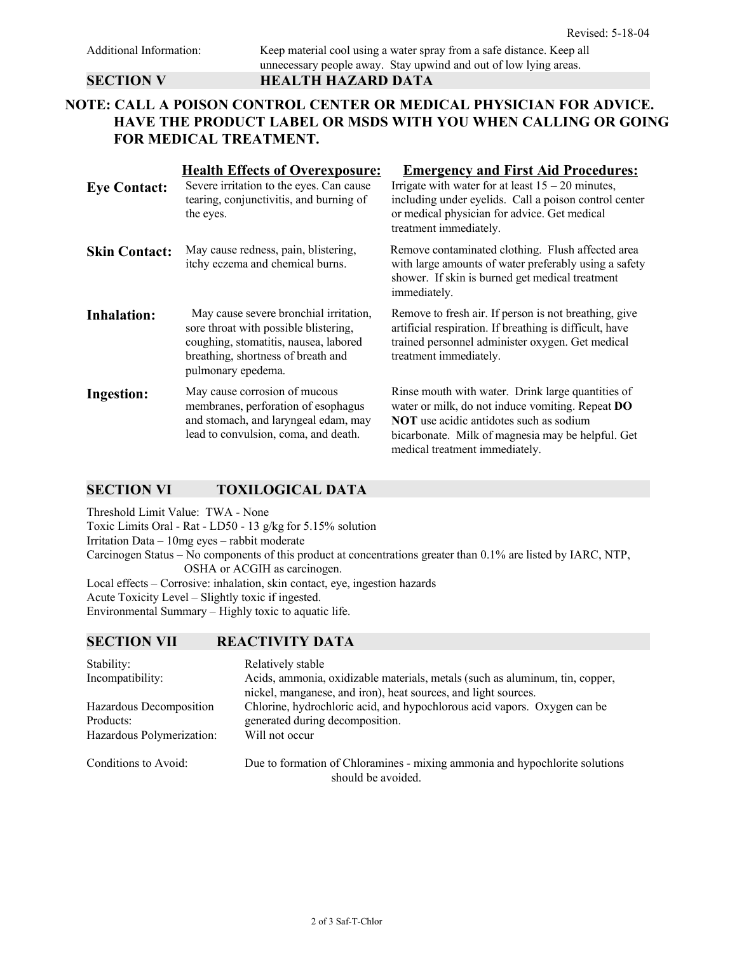#### **NOTE: CALL A POISON CONTROL CENTER OR MEDICAL PHYSICIAN FOR ADVICE. HAVE THE PRODUCT LABEL OR MSDS WITH YOU WHEN CALLING OR GOING FOR MEDICAL TREATMENT.**

| <b>Eye Contact:</b>  | <b>Health Effects of Overexposure:</b><br>Severe irritation to the eyes. Can cause<br>tearing, conjunctivitis, and burning of<br>the eyes.                                           | <b>Emergency and First Aid Procedures:</b><br>Irrigate with water for at least $15 - 20$ minutes,<br>including under eyelids. Call a poison control center<br>or medical physician for advice. Get medical<br>treatment immediately.                  |
|----------------------|--------------------------------------------------------------------------------------------------------------------------------------------------------------------------------------|-------------------------------------------------------------------------------------------------------------------------------------------------------------------------------------------------------------------------------------------------------|
| <b>Skin Contact:</b> | May cause redness, pain, blistering,<br>itchy eczema and chemical burns.                                                                                                             | Remove contaminated clothing. Flush affected area<br>with large amounts of water preferably using a safety<br>shower. If skin is burned get medical treatment<br>immediately.                                                                         |
| <b>Inhalation:</b>   | May cause severe bronchial irritation,<br>sore throat with possible blistering,<br>coughing, stomatitis, nausea, labored<br>breathing, shortness of breath and<br>pulmonary epedema. | Remove to fresh air. If person is not breathing, give<br>artificial respiration. If breathing is difficult, have<br>trained personnel administer oxygen. Get medical<br>treatment immediately.                                                        |
| Ingestion:           | May cause corrosion of mucous<br>membranes, perforation of esophagus<br>and stomach, and laryngeal edam, may<br>lead to convulsion, coma, and death.                                 | Rinse mouth with water. Drink large quantities of<br>water or milk, do not induce vomiting. Repeat <b>DO</b><br><b>NOT</b> use acidic antidotes such as sodium<br>bicarbonate. Milk of magnesia may be helpful. Get<br>medical treatment immediately. |

#### **SECTION VI TOXILOGICAL DATA**

Threshold Limit Value: TWA - None Toxic Limits Oral - Rat - LD50 - 13 g/kg for 5.15% solution Irritation Data – 10mg eyes – rabbit moderate Carcinogen Status – No components of this product at concentrations greater than 0.1% are listed by IARC, NTP, OSHA or ACGIH as carcinogen. Local effects – Corrosive: inhalation, skin contact, eye, ingestion hazards Acute Toxicity Level – Slightly toxic if ingested. Environmental Summary – Highly toxic to aquatic life.

#### **SECTION VII REACTIVITY DATA**

| Stability:<br>Incompatibility:       | Relatively stable<br>Acids, ammonia, oxidizable materials, metals (such as aluminum, tin, copper,<br>nickel, manganese, and iron), heat sources, and light sources. |
|--------------------------------------|---------------------------------------------------------------------------------------------------------------------------------------------------------------------|
| Hazardous Decomposition<br>Products: | Chlorine, hydrochloric acid, and hypochlorous acid vapors. Oxygen can be<br>generated during decomposition.                                                         |
| Hazardous Polymerization:            | Will not occur                                                                                                                                                      |
| Conditions to Avoid:                 | Due to formation of Chloramines - mixing ammonia and hypochlorite solutions<br>should be avoided.                                                                   |